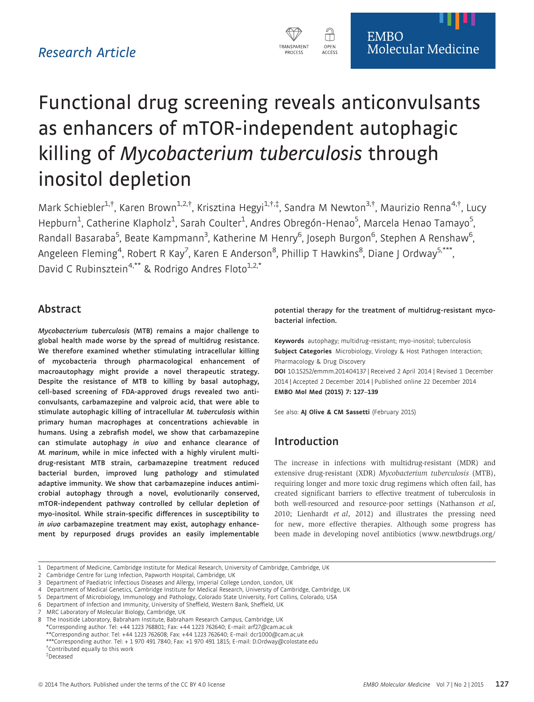

# Functional drug screening reveals anticonvulsants as enhancers of mTOR-independent autophagic killing of Mycobacterium tuberculosis through inositol depletion

Mark Schiebler<sup>1,†</sup>, Karen Brown<sup>1,2,†</sup>, Krisztina Hegyi<sup>1,†,‡</sup>, Sandra M Newton<sup>3,†</sup>, Maurizio Renna<sup>4,†</sup>, Lucy Hepburn<sup>1</sup>, Catherine Klapholz<sup>1</sup>, Sarah Coulter<sup>1</sup>, Andres Obregón-Henao<sup>5</sup>, Marcela Henao Tamayo<sup>5</sup> , Randall Basaraba<sup>5</sup>, Beate Kampmann<sup>3</sup>, Katherine M Henry<sup>6</sup>, Joseph Burgon<sup>6</sup>, Stephen A Renshaw<sup>6</sup> .<br>י Angeleen Fleming<sup>4</sup>, Robert R Kay<sup>7</sup>, Karen E Anderson<sup>8</sup>, Phillip T Hawkins<sup>8</sup>, Diane J Ordway<sup>5,\*\*\*</sup>, David C Rubinsztein<sup>4,\*\*</sup> & Rodrigo Andres Floto<sup>1,2,\*</sup>

## Abstract

Mycobacterium tuberculosis (MTB) remains a major challenge to global health made worse by the spread of multidrug resistance. We therefore examined whether stimulating intracellular killing of mycobacteria through pharmacological enhancement of macroautophagy might provide a novel therapeutic strategy. Despite the resistance of MTB to killing by basal autophagy, cell-based screening of FDA-approved drugs revealed two anticonvulsants, carbamazepine and valproic acid, that were able to stimulate autophagic killing of intracellular M. tuberculosis within primary human macrophages at concentrations achievable in humans. Using a zebrafish model, we show that carbamazepine can stimulate autophagy in vivo and enhance clearance of M. marinum, while in mice infected with a highly virulent multidrug-resistant MTB strain, carbamazepine treatment reduced bacterial burden, improved lung pathology and stimulated adaptive immunity. We show that carbamazepine induces antimicrobial autophagy through a novel, evolutionarily conserved, mTOR-independent pathway controlled by cellular depletion of myo-inositol. While strain-specific differences in susceptibility to in vivo carbamazepine treatment may exist, autophagy enhancement by repurposed drugs provides an easily implementable

potential therapy for the treatment of multidrug-resistant mycobacterial infection.

Keywords autophagy; multidrug-resistant; myo-inositol; tuberculosis Subject Categories Microbiology, Virology & Host Pathogen Interaction; Pharmacology & Drug Discovery

DOI 10.15252/emmm.201404137 | Received 2 April 2014 | Revised 1 December 2014 | Accepted 2 December 2014 | Published online 22 December 2014 EMBO Mol Med (2015) 7: 127–139

See also: AJ Olive & [CM Sassetti](http://dx.doi.org/10.15252/emmm.201404815) (February 2015)

## Introduction

The increase in infections with multidrug-resistant (MDR) and extensive drug-resistant (XDR) Mycobacterium tuberculosis (MTB), requiring longer and more toxic drug regimens which often fail, has created significant barriers to effective treatment of tuberculosis in both well-resourced and resource-poor settings (Nathanson et al, 2010; Lienhardt et al, 2012) and illustrates the pressing need for new, more effective therapies. Although some progress has been made in developing novel antibiotics [\(www.newtbdrugs.org/](http://www.newtbdrugs.org/pipeline.php)

<sup>1</sup> Department of Medicine, Cambridge Institute for Medical Research, University of Cambridge, Cambridge, UK

<sup>2</sup> Cambridge Centre for Lung Infection, Papworth Hospital, Cambridge, UK

<sup>3</sup> Department of Paediatric Infectious Diseases and Allergy, Imperial College London, London, UK

<sup>4</sup> Department of Medical Genetics, Cambridge Institute for Medical Research, University of Cambridge, Cambridge, UK

<sup>5</sup> Department of Microbiology, Immunology and Pathology, Colorado State University, Fort Collins, Colorado, USA

<sup>6</sup> Department of Infection and Immunity, University of Sheffield, Western Bank, Sheffield, UK

<sup>7</sup> MRC Laboratory of Molecular Biology, Cambridge, UK

The Inositide Laboratory, Babraham Institute, Babraham Research Campus, Cambridge, UK \*Corresponding author. Tel: +44 1223 768801; Fax: +44 1223 762640; E-mail: arf27@cam.ac.uk

<sup>\*\*</sup>Corresponding author. Tel: +44 1223 762608; Fax: +44 1223 762640; E-mail: dcr1000@cam.ac.uk

<sup>\*\*\*</sup>Corresponding author. Tel: + 1 970 491 7840; Fax: +1 970 491 1815; E-mail: D.Ordway@colostate.edu † Contributed equally to this work

<sup>‡</sup> Deceased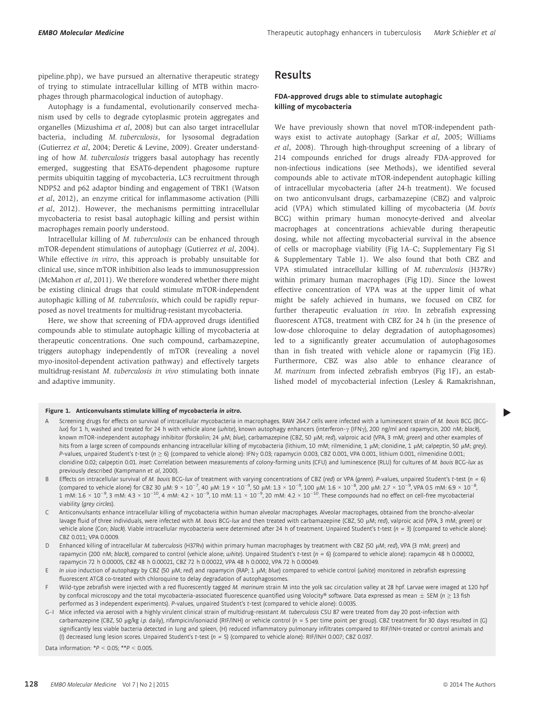[pipeline.php](http://www.newtbdrugs.org/pipeline.php)), we have pursued an alternative therapeutic strategy of trying to stimulate intracellular killing of MTB within macrophages through pharmacological induction of autophagy.

Autophagy is a fundamental, evolutionarily conserved mechanism used by cells to degrade cytoplasmic protein aggregates and organelles (Mizushima et al, 2008) but can also target intracellular bacteria, including M. tuberculosis, for lysosomal degradation (Gutierrez et al, 2004; Deretic & Levine, 2009). Greater understanding of how M. tuberculosis triggers basal autophagy has recently emerged, suggesting that ESAT6-dependent phagosome rupture permits ubiquitin tagging of mycobacteria, LC3 recruitment through NDP52 and p62 adaptor binding and engagement of TBK1 (Watson et al, 2012), an enzyme critical for inflammasome activation (Pilli et al, 2012). However, the mechanisms permitting intracellular mycobacteria to resist basal autophagic killing and persist within macrophages remain poorly understood.

Intracellular killing of M. tuberculosis can be enhanced through mTOR-dependent stimulations of autophagy (Gutierrez et al, 2004). While effective in vitro, this approach is probably unsuitable for clinical use, since mTOR inhibition also leads to immunosuppression (McMahon et al, 2011). We therefore wondered whether there might be existing clinical drugs that could stimulate mTOR-independent autophagic killing of M. tuberculosis, which could be rapidly repurposed as novel treatments for multidrug-resistant mycobacteria.

Here, we show that screening of FDA-approved drugs identified compounds able to stimulate autophagic killing of mycobacteria at therapeutic concentrations. One such compound, carbamazepine, triggers autophagy independently of mTOR (revealing a novel myo-inositol-dependent activation pathway) and effectively targets multidrug-resistant M. tuberculosis in vivo stimulating both innate and adaptive immunity.

### Results

#### FDA-approved drugs able to stimulate autophagic killing of mycobacteria

We have previously shown that novel mTOR-independent pathways exist to activate autophagy (Sarkar et al, 2005; Williams et al, 2008). Through high-throughput screening of a library of 214 compounds enriched for drugs already FDA-approved for non-infectious indications (see Methods), we identified several compounds able to activate mTOR-independent autophagic killing of intracellular mycobacteria (after 24-h treatment). We focused on two anticonvulsant drugs, carbamazepine (CBZ) and valproic acid (VPA) which stimulated killing of mycobacteria (M. bovis BCG) within primary human monocyte-derived and alveolar macrophages at concentrations achievable during therapeutic dosing, while not affecting mycobacterial survival in the absence of cells or macrophage viability (Fig 1A–C; Supplementary Fig S1 & Supplementary Table 1). We also found that both CBZ and VPA stimulated intracellular killing of M. tuberculosis (H37Rv) within primary human macrophages (Fig 1D). Since the lowest effective concentration of VPA was at the upper limit of what might be safely achieved in humans, we focused on CBZ for further therapeutic evaluation in vivo. In zebrafish expressing fluorescent ATG8, treatment with CBZ for 24 h (in the presence of low-dose chloroquine to delay degradation of autophagosomes) led to a significantly greater accumulation of autophagosomes than in fish treated with vehicle alone or rapamycin (Fig 1E). Furthermore, CBZ was also able to enhance clearance of M. marinum from infected zebrafish embryos (Fig 1F), an established model of mycobacterial infection (Lesley & Ramakrishnan,

- Figure 1. Anticonvulsants stimulate killing of mycobacteria in vitro.<br>A Screening drugs for effects on survival of intracellular mycobacteria in macrophages. RAW 264.7 cells were infected with a luminescent strain of *M.* lux) for 1 h, washed and treated for 24 h with vehicle alone (white), known autophagy enhancers (interferon- $\gamma$  (IFN $\gamma$ ), 200 ng/ml and rapamycin, 200 nM; black), known mTOR-independent autophagy inhibitor (forskolin; 24 µM; blue), carbamazepine (CBZ, 50 µM; red), valproic acid (VPA, 3 mM; green) and other examples of hits from a large screen of compounds enhancing intracellular killing of mycobacteria (lithium, 10 mM; rilmenidine, 1 µM; clonidine, 1 µM; calpeptin, 50 µM; grey). P-values, unpaired Student's t-test ( $n \ge 6$ ) (compared to vehicle alone): IFNy 0.03; rapamycin 0.003, CBZ 0.001, VPA 0.001, lithium 0.001, rilmenidine 0.001; clonidine 0.02; calpeptin 0.01. Inset: Correlation between measurements of colony-forming units (CFU) and luminescence (RLU) for cultures of M. bovis BCG-lux as previously described (Kampmann et al, 2000).
- B Effects on intracellular survival of M. bovis BCG-lux of treatment with varying concentrations of CBZ (red) or VPA (green). P-values, unpaired Student's t-test (n = 6) (compared to vehicle alone) for CBZ 30  $\mu$ M: 9  $\times$  10<sup>-7</sup>, 40  $\mu$ M: 1.9  $\times$  10<sup>-9</sup>, 50  $\mu$ M: 1.3  $\times$  10<sup>-9</sup>, 100  $\mu$ M: 1.6  $\times$  10<sup>-8</sup>, 200  $\mu$ M: 1.6  $\times$  10<sup>-8</sup>, 200  $\mu$ M: 2.7  $\times$  10<sup>-9</sup>, VPA 0.5 mM: 6.9  $\times$  1 , 1 mM: 1.6  $\times$  10<sup>-9</sup>, 3 mM: 4.3  $\times$  10<sup>-10</sup>, 4 mM: 4.2  $\times$  10<sup>-9</sup>, 10 mM: 1.1  $\times$  10<sup>-9</sup>, 20 mM: 4.2  $\times$  10<sup>-10</sup>. These compounds had no effect on cell-free mycobacterial viability (grey circles).
- C Anticonvulsants enhance intracellular killing of mycobacteria within human alveolar macrophages. Alveolar macrophages, obtained from the broncho-alveolar lavage fluid of three individuals, were infected with M. bovis BCG-lux and then treated with carbamazepine (CBZ, 50 µM; red), valproic acid (VPA, 3 mM; green) or vehicle alone (Con; black). Viable intracellular mycobacteria were determined after 24 h of treatment. Unpaired Student's t-test ( $n = 3$ ) (compared to vehicle alone): CBZ 0.011; VPA 0.0009.
- D Enhanced killing of intracellular M. tuberculosis (H37Rv) within primary human macrophages by treatment with CBZ (50 µM; red), VPA (3 mM; green) and rapamycin (200 nM; black), compared to control (vehicle alone; white). Unpaired Student's t-test ( $n = 6$ ) (compared to vehicle alone): rapamycin 48 h 0.00002, rapamycin 72 h 0.00005, CBZ 48 h 0.00021, CBZ 72 h 0.00022, VPA 48 h 0.0002, VPA 72 h 0.00049.
- E In vivo induction of autophagy by CBZ (50 µM; red) and rapamycin (RAP; 1 µM; blue) compared to vehicle control (white) monitored in zebrafish expressing fluorescent ATG8 co-treated with chloroquine to delay degradation of autophagosomes.
- F Wild-type zebrafish were injected with a red fluorescently tagged M. marinum strain M into the yolk sac circulation valley at 28 hpf. Larvae were imaged at 120 hpf by confocal microscopy and the total mycobacteria-associated fluorescence quantified using Volocity® software. Data expressed as mean  $\pm$  SEM (n  $\geq$  13 fish performed as 3 independent experiments). P-values, unpaired Student's t-test (compared to vehicle alone): 0.0035.
- G–I Mice infected via aerosol with a highly virulent clinical strain of multidrug-resistant M. tuberculosis CSU 87 were treated from day 20 post-infection with carbamazepine (CBZ, 50 µg/kg i.p. daily), rifampicin/isoniazid (RIF/INH) or vehicle control (n = 5 per time point per group). CBZ treatment for 30 days resulted in (G) significantly less viable bacteria detected in lung and spleen, (H) reduced inflammatory pulmonary infiltrates compared to RIF/INH-treated or control animals and (I) decreased lung lesion scores. Unpaired Student's t-test ( $n = 5$ ) (compared to vehicle alone): RIF/INH 0.007; CBZ 0.037.

Data information:  $*P < 0.05$ ;  $**P < 0.005$ .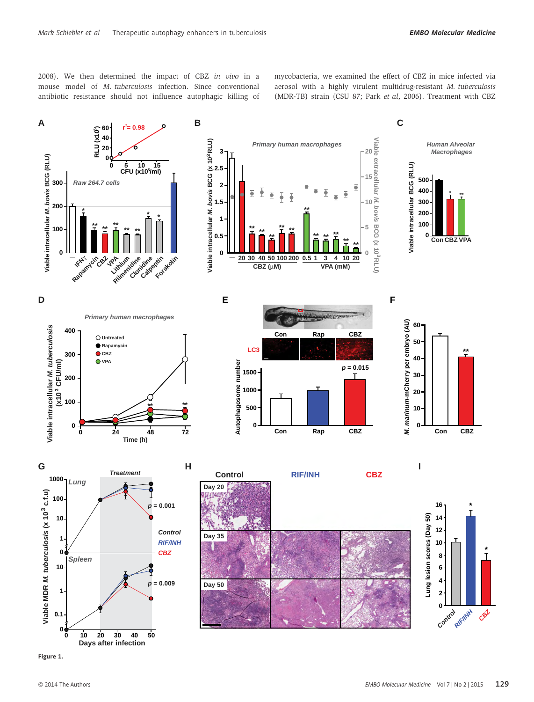2008). We then determined the impact of CBZ in vivo in a mouse model of M. tuberculosis infection. Since conventional antibiotic resistance should not influence autophagic killing of mycobacteria, we examined the effect of CBZ in mice infected via aerosol with a highly virulent multidrug-resistant M. tuberculosis (MDR-TB) strain (CSU 87; Park et al, 2006). Treatment with CBZ



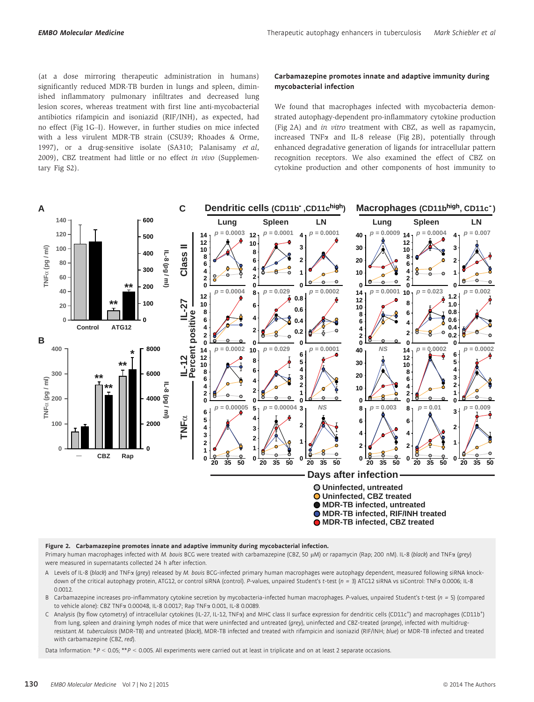(at a dose mirroring therapeutic administration in humans) significantly reduced MDR-TB burden in lungs and spleen, diminished inflammatory pulmonary infiltrates and decreased lung lesion scores, whereas treatment with first line anti-mycobacterial antibiotics rifampicin and isoniazid (RIF/INH), as expected, had no effect (Fig 1G–I). However, in further studies on mice infected with a less virulent MDR-TB strain (CSU39; Rhoades & Orme, 1997), or a drug-sensitive isolate (SA310; Palanisamy et al, 2009), CBZ treatment had little or no effect in vivo (Supplementary Fig S2).

#### Carbamazepine promotes innate and adaptive immunity during mycobacterial infection

We found that macrophages infected with mycobacteria demonstrated autophagy-dependent pro-inflammatory cytokine production (Fig 2A) and in vitro treatment with CBZ, as well as rapamycin, increased TNF $\alpha$  and IL-8 release (Fig 2B), potentially through enhanced degradative generation of ligands for intracellular pattern recognition receptors. We also examined the effect of CBZ on cytokine production and other components of host immunity to



Figure 2. Carbamazepine promotes innate and adaptive immunity during mycobacterial infection.

Primary human macrophages infected with M. bovis BCG were treated with carbamazepine (CBZ, 50 µM) or rapamycin (Rap; 200 nM). IL-8 (black) and TNFa (grey) were measured in supernatants collected 24 h after infection.

- A Levels of IL-8 (black) and TNFa (grey) released by M. bovis BCG-infected primary human macrophages were autophagy dependent, measured following siRNA knockdown of the critical autophagy protein, ATG12, or control siRNA (control). P-values, unpaired Student's t-test (n = 3) ATG12 siRNA vs siControl: TNFa 0.0006; IL-8 .0012.
- B Carbamazepine increases pro-inflammatory cytokine secretion by mycobacteria-infected human macrophages. P-values, unpaired Student's t-test ( $n = 5$ ) (compared to vehicle alone): CBZ TNFa 0.00048, IL-8 0.0017; Rap TNFa 0.001, IL-8 0.0089.
- C Analysis (by flow cytometry) of intracellular cytokines (IL-27, IL-12, TNFa) and MHC class II surface expression for dendritic cells (CD11c<sup>+</sup>) and macrophages (CD11b<sup>+</sup>) from lung, spleen and draining lymph nodes of mice that were uninfected and untreated (arey), uninfected and CBZ-treated (oranae), infected with multidrugresistant M. tuberculosis (MDR-TB) and untreated (black), MDR-TB infected and treated with rifampicin and isoniazid (RIF/INH; blue) or MDR-TB infected and treated with carbamazepine (CBZ, red).

Data Information: \*P < 0.05; \*\*P < 0.005. All experiments were carried out at least in triplicate and on at least 2 separate occasions.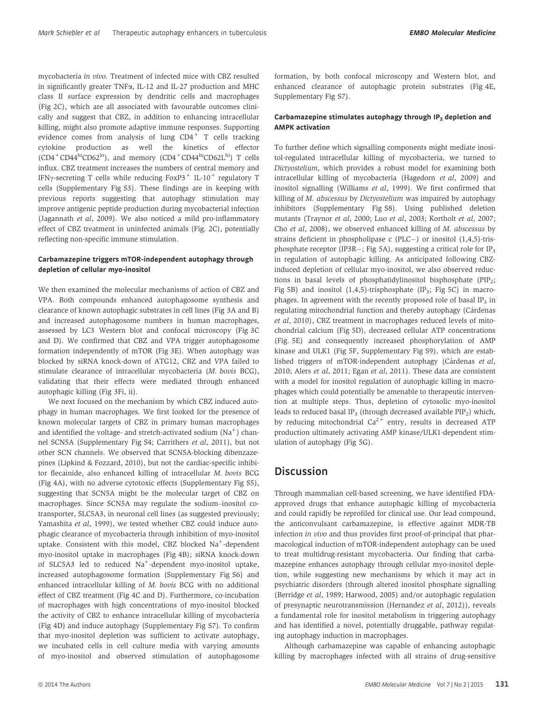mycobacteria in vivo. Treatment of infected mice with CBZ resulted in significantly greater TNFa, IL-12 and IL-27 production and MHC class II surface expression by dendritic cells and macrophages (Fig 2C), which are all associated with favourable outcomes clinically and suggest that CBZ, in addition to enhancing intracellular killing, might also promote adaptive immune responses. Supporting evidence comes from analysis of lung  $CD4^+$  T cells tracking cytokine production as well the kinetics of effector  $(CD4 + CD44$ hiCD62<sup>lo</sup>), and memory  $(CD4 + CD44$ hiCD62L<sup>hi</sup>) T cells influx. CBZ treatment increases the numbers of central memory and IFN $\gamma$ -secreting T cells while reducing FoxP3<sup>+</sup> IL-10<sup>+</sup> regulatory T cells (Supplementary Fig S3). These findings are in keeping with previous reports suggesting that autophagy stimulation may improve antigenic peptide production during mycobacterial infection (Jagannath et al, 2009). We also noticed a mild pro-inflammatory effect of CBZ treatment in uninfected animals (Fig. 2C), potentially reflecting non-specific immune stimulation.

### Carbamazepine triggers mTOR-independent autophagy through depletion of cellular myo-inositol

We then examined the molecular mechanisms of action of CBZ and VPA. Both compounds enhanced autophagosome synthesis and clearance of known autophagic substrates in cell lines (Fig 3A and B) and increased autophagosome numbers in human macrophages, assessed by LC3 Western blot and confocal microscopy (Fig 3C and D). We confirmed that CBZ and VPA trigger autophagosome formation independently of mTOR (Fig 3E). When autophagy was blocked by siRNA knock-down of ATG12, CBZ and VPA failed to stimulate clearance of intracellular mycobacteria (M. bovis BCG), validating that their effects were mediated through enhanced autophagic killing (Fig 3Fi, ii).

We next focused on the mechanism by which CBZ induced autophagy in human macrophages. We first looked for the presence of known molecular targets of CBZ in primary human macrophages and identified the voltage- and stretch-activated sodium  $(Na<sup>+</sup>)$  channel SCN5A (Supplementary Fig S4; Carrithers et al, 2011), but not other SCN channels. We observed that SCN5A-blocking dibenzazepines (Lipkind & Fozzard, 2010), but not the cardiac-specific inhibitor flecainide, also enhanced killing of intracellular M. bovis BCG (Fig 4A), with no adverse cytotoxic effects (Supplementary Fig S5), suggesting that SCN5A might be the molecular target of CBZ on macrophages. Since SCN5A may regulate the sodium–inositol cotransporter, SLC5A3, in neuronal cell lines (as suggested previously; Yamashita et al, 1999), we tested whether CBZ could induce autophagic clearance of mycobacteria through inhibition of myo-inositol uptake. Consistent with this model, CBZ blocked Na<sup>+</sup>-dependent myo-inositol uptake in macrophages (Fig 4B); siRNA knock-down of SLC5A3 led to reduced Na<sup>+</sup>-dependent myo-inositol uptake, increased autophagosome formation (Supplementary Fig S6) and enhanced intracellular killing of M. bovis BCG with no additional effect of CBZ treatment (Fig 4C and D). Furthermore, co-incubation of macrophages with high concentrations of myo-inositol blocked the activity of CBZ to enhance intracellular killing of mycobacteria (Fig 4D) and induce autophagy (Supplementary Fig S7). To confirm that myo-inositol depletion was sufficient to activate autophagy, we incubated cells in cell culture media with varying amounts of myo-inositol and observed stimulation of autophagosome

formation, by both confocal microscopy and Western blot, and enhanced clearance of autophagic protein substrates (Fig 4E, Supplementary Fig S7).

#### Carbamazepine stimulates autophagy through  $IP<sub>3</sub>$  depletion and AMPK activation

To further define which signalling components might mediate inositol-regulated intracellular killing of mycobacteria, we turned to Dictyostelium, which provides a robust model for examining both intracellular killing of mycobacteria (Hagedorn et al, 2009) and inositol signalling (Williams et al, 1999). We first confirmed that killing of M. abscessus by Dictyostelium was impaired by autophagy inhibitors (Supplementary Fig S8). Using published deletion mutants (Traynor et al, 2000; Luo et al, 2003; Kortholt et al, 2007; Cho et al, 2008), we observed enhanced killing of M. abscessus by strains deficient in phospholipase c (PLC $-$ ) or inositol (1,4,5)-trisphosphate receptor (IP3R $-$ ; Fig 5A), suggesting a critical role for IP<sub>3</sub> in regulation of autophagic killing. As anticipated following CBZinduced depletion of cellular myo-inositol, we also observed reductions in basal levels of phosphatidylinositol bisphosphate (PIP<sub>2</sub>; Fig 5B) and inositol  $(1,4,5)$ -trisphosphate  $(IP_3; Fig 5C)$  in macrophages. In agreement with the recently proposed role of basal  $IP_3$  in regulating mitochondrial function and thereby autophagy (Cárdenas et al, 2010), CBZ treatment in macrophages reduced levels of mitochondrial calcium (Fig 5D), decreased cellular ATP concentrations (Fig. 5E) and consequently increased phosphorylation of AMP kinase and ULK1 (Fig 5F, Supplementary Fig S9), which are established triggers of mTOR-independent autophagy (Cárdenas et al, 2010; Alers et al, 2011; Egan et al, 2011). These data are consistent with a model for inositol regulation of autophagic killing in macrophages which could potentially be amenable to therapeutic intervention at multiple steps. Thus, depletion of cytosolic myo-inositol leads to reduced basal IP<sub>3</sub> (through decreased available  $\text{PIP}_2$ ) which, by reducing mitochondrial  $Ca^{2+}$  entry, results in decreased ATP production ultimately activating AMP kinase/ULK1-dependent stimulation of autophagy (Fig 5G).

### **Discussion**

Through mammalian cell-based screening, we have identified FDAapproved drugs that enhance autophagic killing of mycobacteria and could rapidly be reprofiled for clinical use. Our lead compound, the anticonvulsant carbamazepine, is effective against MDR-TB infection in vivo and thus provides first proof-of-principal that pharmacological induction of mTOR-independent autophagy can be used to treat multidrug-resistant mycobacteria. Our finding that carbamazepine enhances autophagy through cellular myo-inositol depletion, while suggesting new mechanisms by which it may act in psychiatric disorders (through altered inositol phosphate signalling (Berridge et al, 1989; Harwood, 2005) and/or autophagic regulation of presynaptic neurotransmission (Hernandez et al, 2012)), reveals a fundamental role for inositol metabolism in triggering autophagy and has identified a novel, potentially druggable, pathway regulating autophagy induction in macrophages.

Although carbamazepine was capable of enhancing autophagic killing by macrophages infected with all strains of drug-sensitive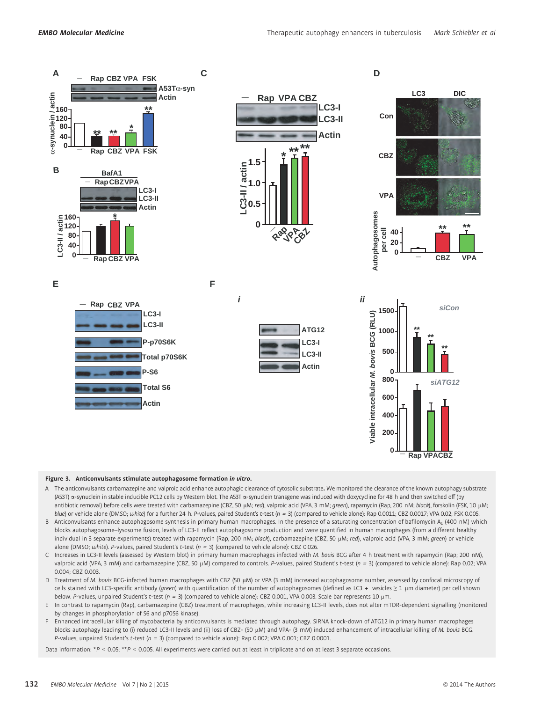

#### Figure 3. Anticonvulsants stimulate autophagosome formation in vitro.

- A The anticonvulsants carbamazepine and valproic acid enhance autophagic clearance of cytosolic substrate. We monitored the clearance of the known autophagy substrate (A53T) a-synuclein in stable inducible PC12 cells by Western blot. The A53T a-synuclein transgene was induced with doxycycline for 48 h and then switched off (by antibiotic removal) before cells were treated with carbamazepine (CBZ, 50 µM; red), valproic acid (VPA, 3 mM; green), rapamycin (Rap, 200 nM; black), forskolin (FSK, 10 µM; blue) or vehicle alone (DMSO; white) for a further 24 h. P-values, paired Student's t-test ( $n = 3$ ) (compared to vehicle alone): Rap 0.0011; CBZ 0.0017; VPA 0.02; FSK 0.005.
- B Anticonvulsants enhance autophagosome synthesis in primary human macrophages. In the presence of a saturating concentration of bafilomycin A<sub>1</sub> (400 nM) which blocks autophagosome–lysosome fusion, levels of LC3-II reflect autophagosome production and were quantified in human macrophages (from a different healthy individual in 3 separate experiments) treated with rapamycin (Rap, 200 nM; black), carbamazepine (CBZ, 50 µM; red), valproic acid (VPA, 3 mM; green) or vehicle alone (DMSO; white). P-values, paired Student's t-test ( $n = 3$ ) (compared to vehicle alone): CBZ 0.026.
- C Increases in LC3-II levels (assessed by Western blot) in primary human macrophages infected with M. bovis BCG after 4 h treatment with rapamycin (Rap; 200 nM), valproic acid (VPA, 3 mM) and carbamazepine (CBZ, 50 µM) compared to controls. P-values, paired Student's t-test ( $n = 3$ ) (compared to vehicle alone): Rap 0.02; VPA 0.004; CBZ 0.003.
- D Treatment of M. bovis BCG-infected human macrophages with CBZ (50 µM) or VPA (3 mM) increased autophagosome number, assessed by confocal microscopy of cells stained with LC3-specific antibody (green) with quantification of the number of autophagosomes (defined as LC3 + vesicles ≥ 1 µm diameter) per cell shown below. P-values, unpaired Student's t-test ( $n = 3$ ) (compared to vehicle alone): CBZ 0.001, VPA 0.003. Scale bar represents 10 µm.
- E In contrast to rapamycin (Rap), carbamazepine (CBZ) treatment of macrophages, while increasing LC3-II levels, does not alter mTOR-dependent signalling (monitored by changes in phosphorylation of S6 and p70S6 kinase).
- F Enhanced intracellular killing of mycobacteria by anticonvulsants is mediated through autophagy. SiRNA knock-down of ATG12 in primary human macrophages blocks autophagy leading to (i) reduced LC3-II levels and (ii) loss of CBZ- (50 µM) and VPA- (3 mM) induced enhancement of intracellular killing of M. bovis BCG. P-values, unpaired Student's t-test ( $n = 3$ ) (compared to vehicle alone): Rap 0.002; VPA 0.001; CBZ 0.0001.

Data information: \*P < 0.05; \*\*P < 0.005. All experiments were carried out at least in triplicate and on at least 3 separate occasions.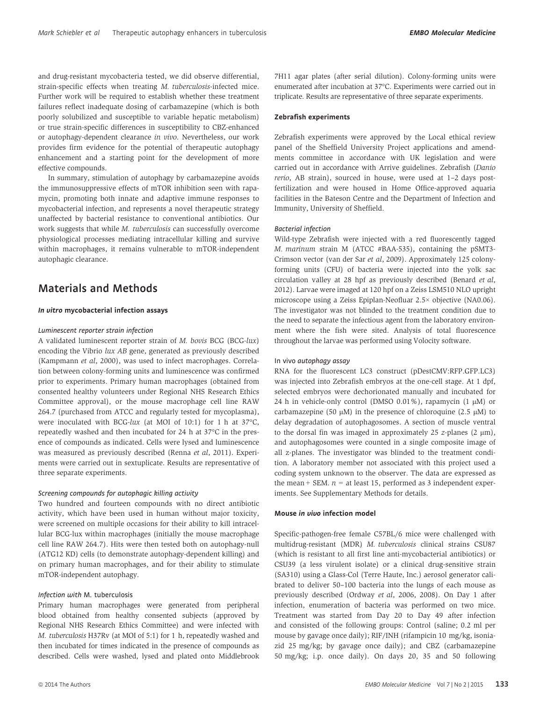and drug-resistant mycobacteria tested, we did observe differential, strain-specific effects when treating M. tuberculosis-infected mice. Further work will be required to establish whether these treatment failures reflect inadequate dosing of carbamazepine (which is both poorly solubilized and susceptible to variable hepatic metabolism) or true strain-specific differences in susceptibility to CBZ-enhanced or autophagy-dependent clearance in vivo. Nevertheless, our work provides firm evidence for the potential of therapeutic autophagy enhancement and a starting point for the development of more effective compounds.

In summary, stimulation of autophagy by carbamazepine avoids the immunosuppressive effects of mTOR inhibition seen with rapamycin, promoting both innate and adaptive immune responses to mycobacterial infection, and represents a novel therapeutic strategy unaffected by bacterial resistance to conventional antibiotics. Our work suggests that while M. tuberculosis can successfully overcome physiological processes mediating intracellular killing and survive within macrophages, it remains vulnerable to mTOR-independent autophagic clearance.

### Materials and Methods

#### In vitro mycobacterial infection assays

#### Luminescent reporter strain infection

A validated luminescent reporter strain of M. bovis BCG (BCG-lux) encoding the Vibrio lux AB gene, generated as previously described (Kampmann et al, 2000), was used to infect macrophages. Correlation between colony-forming units and luminescence was confirmed prior to experiments. Primary human macrophages (obtained from consented healthy volunteers under Regional NHS Research Ethics Committee approval), or the mouse macrophage cell line RAW 264.7 (purchased from ATCC and regularly tested for mycoplasma), were inoculated with BCG-lux (at MOI of 10:1) for 1 h at 37°C, repeatedly washed and then incubated for 24 h at 37°C in the presence of compounds as indicated. Cells were lysed and luminescence was measured as previously described (Renna et al, 2011). Experiments were carried out in sextuplicate. Results are representative of three separate experiments.

#### Screening compounds for autophagic killing activity

Two hundred and fourteen compounds with no direct antibiotic activity, which have been used in human without major toxicity, were screened on multiple occasions for their ability to kill intracellular BCG-lux within macrophages (initially the mouse macrophage cell line RAW 264.7). Hits were then tested both on autophagy-null (ATG12 KD) cells (to demonstrate autophagy-dependent killing) and on primary human macrophages, and for their ability to stimulate mTOR-independent autophagy.

#### Infection with M. tuberculosis

Primary human macrophages were generated from peripheral blood obtained from healthy consented subjects (approved by Regional NHS Research Ethics Committee) and were infected with M. tuberculosis H37Rv (at MOI of 5:1) for 1 h, repeatedly washed and then incubated for times indicated in the presence of compounds as described. Cells were washed, lysed and plated onto Middlebrook

#### Zebrafish experiments

Zebrafish experiments were approved by the Local ethical review panel of the Sheffield University Project applications and amendments committee in accordance with UK legislation and were carried out in accordance with Arrive guidelines. Zebrafish (Danio rerio, AB strain), sourced in house, were used at 1–2 days postfertilization and were housed in Home Office-approved aquaria facilities in the Bateson Centre and the Department of Infection and Immunity, University of Sheffield.

#### Bacterial infection

Wild-type Zebrafish were injected with a red fluorescently tagged M. marinum strain M (ATCC #BAA-535), containing the pSMT3- Crimson vector (van der Sar et al, 2009). Approximately 125 colonyforming units (CFU) of bacteria were injected into the yolk sac circulation valley at 28 hpf as previously described (Benard et al, 2012). Larvae were imaged at 120 hpf on a Zeiss LSM510 NLO upright microscope using a Zeiss Epiplan-Neofluar 2.5× objective (NA0.06). The investigator was not blinded to the treatment condition due to the need to separate the infectious agent from the laboratory environment where the fish were sited. Analysis of total fluorescence throughout the larvae was performed using Volocity software.

#### In vivo autophagy assay

RNA for the fluorescent LC3 construct (pDestCMV:RFP.GFP.LC3) was injected into Zebrafish embryos at the one-cell stage. At 1 dpf, selected embryos were dechorionated manually and incubated for 24 h in vehicle-only control (DMSO  $0.01\%$ ), rapamycin (1  $\mu$ M) or carbamazepine (50  $\mu$ M) in the presence of chloroquine (2.5  $\mu$ M) to delay degradation of autophagosomes. A section of muscle ventral to the dorsal fin was imaged in approximately  $25$  z-planes  $(2 \mu m)$ , and autophagosomes were counted in a single composite image of all z-planes. The investigator was blinded to the treatment condition. A laboratory member not associated with this project used a coding system unknown to the observer. The data are expressed as the mean + SEM.  $n =$  at least 15, performed as 3 independent experiments. See Supplementary Methods for details.

#### Mouse in vivo infection model

Specific-pathogen-free female C57BL/6 mice were challenged with multidrug-resistant (MDR) M. tuberculosis clinical strains CSU87 (which is resistant to all first line anti-mycobacterial antibiotics) or CSU39 (a less virulent isolate) or a clinical drug-sensitive strain (SA310) using a Glass-Col (Terre Haute, Inc.) aerosol generator calibrated to deliver 50–100 bacteria into the lungs of each mouse as previously described (Ordway et al, 2006, 2008). On Day 1 after infection, enumeration of bacteria was performed on two mice. Treatment was started from Day 20 to Day 49 after infection and consisted of the following groups: Control (saline; 0.2 ml per mouse by gavage once daily); RIF/INH (rifampicin 10 mg/kg, isoniazid 25 mg/kg; by gavage once daily); and CBZ (carbamazepine 50 mg/kg; i.p. once daily). On days 20, 35 and 50 following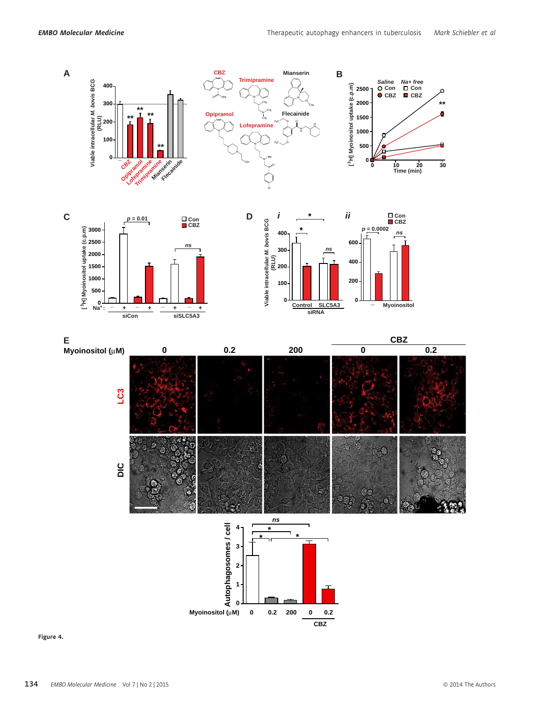

Figure 4.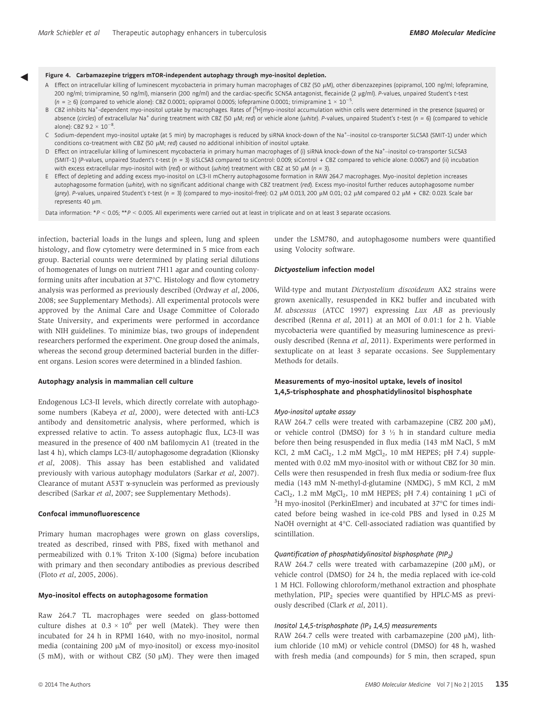- **Figure 4. Carbamazepine triggers mTOR-independent autophagy through myo-inositol depletion.**<br>A Effect on intracellular killing of luminescent mycobacteria in primary human macrophages of CBZ (50 µM), other dibenzazepines 200 ng/ml; trimipramine, 50 ng/ml), mianserin (200 ng/ml) and the cardiac-specific SCN5A antagonist, flecainide (2 µg/ml). P-values, unpaired Student's t-test (n =  $\geq$  6) (compared to vehicle alone): CBZ 0.0001; opipramol 0.0005; lofepramine 0.0001; trimipramine 1 × 10<sup>-5</sup> .
	- B CBZ inhibits Na<sup>+</sup>-dependent myo-inositol uptake by macrophages. Rates of [<sup>3</sup>H]myo-inositol accumulation within cells were determined in the presence (squares) or absence (circles) of extracellular Na<sup>+</sup> during treatment with CBZ (50 µM; red) or vehicle alone (white). P-values, unpaired Student's t-test (n = 6) (compared to vehicle alone): CBZ 9.2  $\times$  10<sup>-8</sup> .
	- C Sodium-dependent myo-inositol uptake (at 5 min) by macrophages is reduced by siRNA knock-down of the Na<sup>+</sup>-inositol co-transporter SLC5A3 (SMIT-1) under which conditions co-treatment with CBZ (50 µM; red) caused no additional inhibition of inositol uptake.
	- D Effect on intracellular killing of luminescent mycobacteria in primary human macrophages of (i) siRNA knock-down of the Na<sup>+</sup>-inositol co-transporter SLC5A3 (SMIT-1) (P-values, unpaired Student's t-test (n = 3) siSLC5A3 compared to siControl: 0.009; siControl + CBZ compared to vehicle alone: 0.0067) and (ii) incubation with excess extracellular myo-inositol with (red) or without (white) treatment with CBZ at 50  $\mu$ M (n = 3).
	- E Effect of depleting and adding excess myo-inositol on LC3-II mCherry autophagosome formation in RAW 264.7 macrophages. Myo-inositol depletion increases autophagosome formation (white), with no significant additional change with CBZ treatment (red). Excess myo-inositol further reduces autophagosome number (grey). P-values, unpaired Student's t-test (n = 3) (compared to myo-inositol-free): 0.2  $\mu$ M 0.013, 200  $\mu$ M 0.01; 0.2  $\mu$ M compared 0.2  $\mu$ M + CBZ: 0.023. Scale bar represents 40 um.

Data information: \*P < 0.05; \*\*P < 0.005. All experiments were carried out at least in triplicate and on at least 3 separate occasions.

infection, bacterial loads in the lungs and spleen, lung and spleen histology, and flow cytometry were determined in 5 mice from each group. Bacterial counts were determined by plating serial dilutions of homogenates of lungs on nutrient 7H11 agar and counting colonyforming units after incubation at 37°C. Histology and flow cytometry analysis was performed as previously described (Ordway et al, 2006, 2008; see Supplementary Methods). All experimental protocols were approved by the Animal Care and Usage Committee of Colorado State University, and experiments were performed in accordance with NIH guidelines. To minimize bias, two groups of independent researchers performed the experiment. One group dosed the animals, whereas the second group determined bacterial burden in the different organs. Lesion scores were determined in a blinded fashion.

#### Autophagy analysis in mammalian cell culture

Endogenous LC3-II levels, which directly correlate with autophagosome numbers (Kabeya et al, 2000), were detected with anti-LC3 antibody and densitometric analysis, where performed, which is expressed relative to actin. To assess autophagic flux, LC3-II was measured in the presence of 400 nM bafilomycin A1 (treated in the last 4 h), which clamps LC3-II/ autophagosome degradation (Klionsky et al, 2008). This assay has been established and validated previously with various autophagy modulators (Sarkar et al, 2007). Clearance of mutant  $A53T \alpha$ -synuclein was performed as previously described (Sarkar et al, 2007; see Supplementary Methods).

#### Confocal immunofluorescence

Primary human macrophages were grown on glass coverslips, treated as described, rinsed with PBS, fixed with methanol and permeabilized with 0.1% Triton X-100 (Sigma) before incubation with primary and then secondary antibodies as previous described (Floto et al, 2005, 2006).

#### Myo-inositol effects on autophagosome formation

Raw 264.7 TL macrophages were seeded on glass-bottomed culture dishes at  $0.3 \times 10^6$  per well (Matek). They were then incubated for 24 h in RPMI 1640, with no myo-inositol, normal media (containing  $200 \mu M$  of myo-inositol) or excess myo-inositol (5 mM), with or without CBZ (50  $\mu$ M). They were then imaged

under the LSM780, and autophagosome numbers were quantified using Volocity software.

#### Dictyostelium infection model

Wild-type and mutant Dictyostelium discoideum AX2 strains were grown axenically, resuspended in KK2 buffer and incubated with M. abscessus (ATCC 1997) expressing Lux AB as previously described (Renna et al, 2011) at an MOI of 0.01:1 for 2 h. Viable mycobacteria were quantified by measuring luminescence as previously described (Renna et al, 2011). Experiments were performed in sextuplicate on at least 3 separate occasions. See Supplementary Methods for details.

### Measurements of myo-inositol uptake, levels of inositol 1,4,5-trisphosphate and phosphatidylinositol bisphosphate

#### Myo-inositol uptake assay

RAW 264.7 cells were treated with carbamazepine (CBZ 200  $\mu$ M), or vehicle control (DMSO) for  $3 \frac{1}{2}$  h in standard culture media before then being resuspended in flux media (143 mM NaCl, 5 mM KCl, 2 mM CaCl<sub>2</sub>, 1.2 mM  $MgCl<sub>2</sub>$ , 10 mM HEPES; pH 7.4) supplemented with 0.02 mM myo-inositol with or without CBZ for 30 min. Cells were then resuspended in fresh flux media or sodium-free flux media (143 mM N-methyl-d-glutamine (NMDG), 5 mM KCl, 2 mM CaCl<sub>2</sub>, 1.2 mM MgCl<sub>2</sub>, 10 mM HEPES; pH 7.4) containing 1  $\mu$ Ci of <sup>3</sup>H myo-inositol (PerkinElmer) and incubated at 37°C for times indicated before being washed in ice-cold PBS and lysed in 0.25 M NaOH overnight at 4°C. Cell-associated radiation was quantified by scintillation.

#### Quantification of phosphatidylinositol bisphosphate ( $PIP<sub>2</sub>$ )

RAW 264.7 cells were treated with carbamazepine  $(200 \mu M)$ , or vehicle control (DMSO) for 24 h, the media replaced with ice-cold 1 M HCl. Following chloroform/methanol extraction and phosphate methylation, PIP<sub>2</sub> species were quantified by HPLC-MS as previously described (Clark et al, 2011).

#### Inositol 1,4,5-trisphosphate (IP<sub>3</sub> 1,4,5) measurements

RAW 264.7 cells were treated with carbamazepine  $(200 \mu M)$ , lithium chloride (10 mM) or vehicle control (DMSO) for 48 h, washed with fresh media (and compounds) for 5 min, then scraped, spun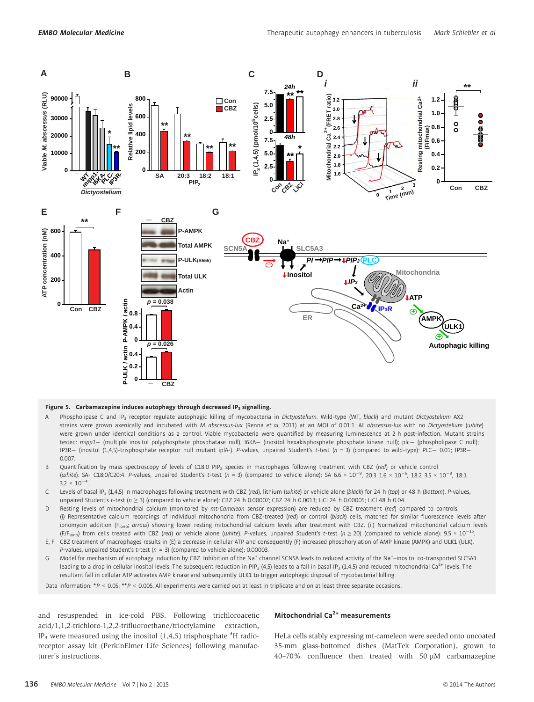

#### Figure 5. Carbamazepine induces autophagy through decreased IP<sub>3</sub> signalling.

- A Phospholipase C and IP<sub>3</sub> receptor regulate autophagic killing of mycobacteria in Dictyostelium. Wild-type (WT, black) and mutant Dictyostelium AX2 strains were grown axenically and incubated with M. abscessus-lux (Renna et al, 2011) at an MOI of 0.01:1. M. abscessus-lux with no Dictyostelium (white) were grown under identical conditions as a control. Viable mycobacteria were quantified by measuring luminescence at 2 h post-infection. Mutant strains tested: mipp1- (multiple inositol polyphosphate phosphatase null), I6KA- (inositol hexakisphosphate phosphate kinase null); plc- (phospholipase C null); IP3R- (inositol (1,4,5)-trisphosphate receptor null mutant iplA-). P-values, unpaired Student's t-test (n = 3) (compared to wild-type): PLC- 0.01; IP3R-0.007.
- Quantification by mass spectroscopy of levels of C18:0 PIP<sub>2</sub> species in macrophages following treatment with CBZ (red) or vehicle control (white). SA- C18:0/C20:4. P-values, unpaired Student's t-test (n = 3) (compared to vehicle alone): SA 6.6 × 10<sup>-9</sup>, 20:3 1.6 × 10<sup>-6</sup>, 18:2 3.5 × 10<sup>-8</sup>, 18:1  $3.2 \times 10^{-4}$ .
- C Levels of basal IP<sub>3</sub> (1,4,5) in macrophages following treatment with CBZ (red), lithium (white) or vehicle alone (black) for 24 h (top) or 48 h (bottom). P-values, unpaired Student's t-test ( $n \ge 3$ ) (compared to vehicle alone): CBZ 24 h 0.00007; CBZ 24 h 0.0013; LiCl 24 h 0.00005; LiCl 48 h 0.04.
- D Resting levels of mitochondrial calcium (monitored by mt-Cameleon sensor expression) are reduced by CBZ treatment (red) compared to controls. (i) Representative calcium recordings of individual mitochondria from CBZ-treated (red) or control (black) cells, matched for similar fluorescence levels after ionomycin addition (F<sub>iono</sub>; arrow) showing lower resting mitochondrial calcium levels after treatment with CBZ. (ii) Normalized mitochondrial calcium levels (F/F<sub>iono</sub>) from cells treated with CBZ (red) or vehicle alone (white). P-values, unpaired Student's t-test (n  $\geq$  20) (compared to vehicle alone): 9.5 × 10<sup>-15</sup>.
- E, F CBZ treatment of macrophages results in (E) a decrease in cellular ATP and consequently (F) increased phosphorylation of AMP kinase (AMPK) and ULK1 (ULK). P-values, unpaired Student's t-test ( $n = 3$ ) (compared to vehicle alone): 0.00003.
- G Model for mechanism of autophagy induction by CBZ. Inhibition of the Na<sup>+</sup> channel SCN5A leads to reduced activity of the Na<sup>+</sup>-inositol co-transported SLC5A3 leading to a drop in cellular inositol levels. The subsequent reduction in PIP<sub>2</sub> (4,5) leads to a fall in basal IP<sub>3</sub> (1,4,5) and reduced mitochondrial Ca<sup>2+</sup> levels. The resultant fall in cellular ATP activates AMP kinase and subsequently ULK1 to trigger autophagic disposal of mycobacterial killing.

Data information: \*P < 0.05; \*\*P < 0.005. All experiments were carried out at least in triplicate and on at least three separate occasions.

and resuspended in ice-cold PBS. Following trichloroacetic acid/1,1,2-trichloro-1,2,2-trifluoroethane/trioctylamine extraction, IP<sub>3</sub> were measured using the inositol  $(1,4,5)$  trisphosphate <sup>3</sup>H radioreceptor assay kit (PerkinElmer Life Sciences) following manufacturer's instructions.

#### Mitochondrial  $Ca<sup>2+</sup>$  measurements

HeLa cells stably expressing mt-cameleon were seeded onto uncoated 35-mm glass-bottomed dishes (MatTek Corporation), grown to  $40-70\%$  confluence then treated with 50  $\mu$ M carbamazepine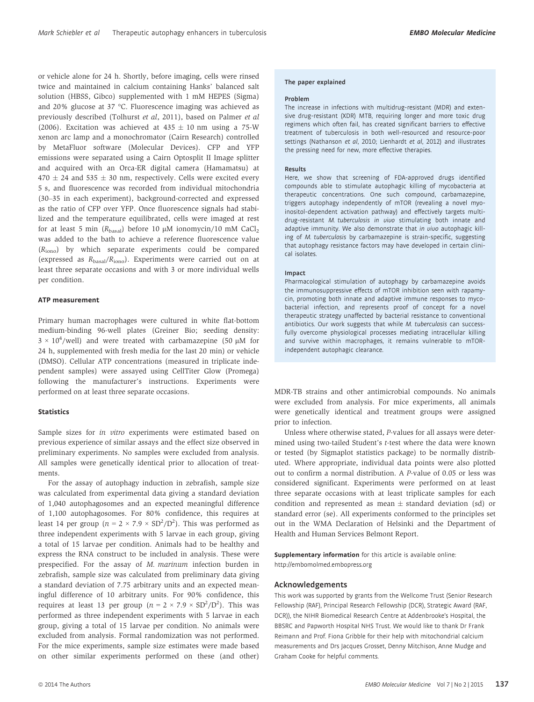or vehicle alone for 24 h. Shortly, before imaging, cells were rinsed twice and maintained in calcium containing Hanks' balanced salt solution (HBSS, Gibco) supplemented with 1 mM HEPES (Sigma) and 20% glucose at 37 °C. Fluorescence imaging was achieved as previously described (Tolhurst et al, 2011), based on Palmer et al (2006). Excitation was achieved at  $435 \pm 10$  nm using a 75-W xenon arc lamp and a monochromator (Cairn Research) controlled by MetaFluor software (Molecular Devices). CFP and YFP emissions were separated using a Cairn Optosplit II Image splitter and acquired with an Orca-ER digital camera (Hamamatsu) at  $470 \pm 24$  and  $535 \pm 30$  nm, respectively. Cells were excited every 5 s, and fluorescence was recorded from individual mitochondria (30–35 in each experiment), background-corrected and expressed as the ratio of CFP over YFP. Once fluorescence signals had stabilized and the temperature equilibrated, cells were imaged at rest for at least 5 min  $(R_{\text{basal}})$  before 10  $\mu$ M ionomycin/10 mM CaCl<sub>2</sub> was added to the bath to achieve a reference fluorescence value  $(R<sub>iono</sub>)$  by which separate experiments could be compared (expressed as  $R_{\text{basal}}/R_{\text{iono}}$ ). Experiments were carried out on at least three separate occasions and with 3 or more individual wells per condition.

#### ATP measurement

Primary human macrophages were cultured in white flat-bottom medium-binding 96-well plates (Greiner Bio; seeding density:  $3 \times 10^4$ /well) and were treated with carbamazepine (50 µM for 24 h, supplemented with fresh media for the last 20 min) or vehicle (DMSO). Cellular ATP concentrations (measured in triplicate independent samples) were assayed using CellTiter Glow (Promega) following the manufacturer's instructions. Experiments were performed on at least three separate occasions.

#### **Statistics**

Sample sizes for in vitro experiments were estimated based on previous experience of similar assays and the effect size observed in preliminary experiments. No samples were excluded from analysis. All samples were genetically identical prior to allocation of treatments.

For the assay of autophagy induction in zebrafish, sample size was calculated from experimental data giving a standard deviation of 1,040 autophagosomes and an expected meaningful difference of 1,100 autophagosomes. For 80% confidence, this requires at least 14 per group ( $n = 2 \times 7.9 \times SD^2/D^2$ ). This was performed as three independent experiments with 5 larvae in each group, giving a total of 15 larvae per condition. Animals had to be healthy and express the RNA construct to be included in analysis. These were prespecified. For the assay of M. marinum infection burden in zebrafish, sample size was calculated from preliminary data giving a standard deviation of 7.75 arbitrary units and an expected meaningful difference of 10 arbitrary units. For 90% confidence, this requires at least 13 per group  $(n = 2 \times 7.9 \times SD^2/D^2)$ . This was performed as three independent experiments with 5 larvae in each group, giving a total of 15 larvae per condition. No animals were excluded from analysis. Formal randomization was not performed. For the mice experiments, sample size estimates were made based on other similar experiments performed on these (and other)

#### The paper explained

#### Problem

The increase in infections with multidrug-resistant (MDR) and extensive drug-resistant (XDR) MTB, requiring longer and more toxic drug regimens which often fail, has created significant barriers to effective treatment of tuberculosis in both well-resourced and resource-poor settings (Nathanson et al, 2010; Lienhardt et al, 2012) and illustrates the pressing need for new, more effective therapies.

#### Results

Here, we show that screening of FDA-approved drugs identified compounds able to stimulate autophagic killing of mycobacteria at therapeutic concentrations. One such compound, carbamazepine, triggers autophagy independently of mTOR (revealing a novel myoinositol-dependent activation pathway) and effectively targets multidrug-resistant M. tuberculosis in vivo stimulating both innate and adaptive immunity. We also demonstrate that in vivo autophagic killing of M. tuberculosis by carbamazepine is strain-specific, suggesting that autophagy resistance factors may have developed in certain clinical isolates.

#### Impact

Pharmacological stimulation of autophagy by carbamazepine avoids the immunosuppressive effects of mTOR inhibition seen with rapamycin, promoting both innate and adaptive immune responses to mycobacterial infection, and represents proof of concept for a novel therapeutic strategy unaffected by bacterial resistance to conventional antibiotics. Our work suggests that while M. tuberculosis can successfully overcome physiological processes mediating intracellular killing and survive within macrophages, it remains vulnerable to mTORindependent autophagic clearance.

MDR-TB strains and other antimicrobial compounds. No animals were excluded from analysis. For mice experiments, all animals were genetically identical and treatment groups were assigned prior to infection.

Unless where otherwise stated, P-values for all assays were determined using two-tailed Student's t-test where the data were known or tested (by Sigmaplot statistics package) to be normally distributed. Where appropriate, individual data points were also plotted out to confirm a normal distribution. A P-value of 0.05 or less was considered significant. Experiments were performed on at least three separate occasions with at least triplicate samples for each condition and represented as mean  $\pm$  standard deviation (sd) or standard error (se). All experiments conformed to the principles set out in the WMA Declaration of Helsinki and the Department of Health and Human Services Belmont Report.

Supplementary information for this article is available online: http://embomolmed.embopress.org

#### Acknowledgements

This work was supported by grants from the Wellcome Trust (Senior Research Fellowship (RAF), Principal Research Fellowship (DCR), Strategic Award (RAF, DCR)), the NIHR Biomedical Research Centre at Addenbrooke's Hospital, the BBSRC and Papworth Hospital NHS Trust. We would like to thank Dr Frank Reimann and Prof. Fiona Gribble for their help with mitochondrial calcium measurements and Drs Jacques Grosset, Denny Mitchison, Anne Mudge and Graham Cooke for helpful comments.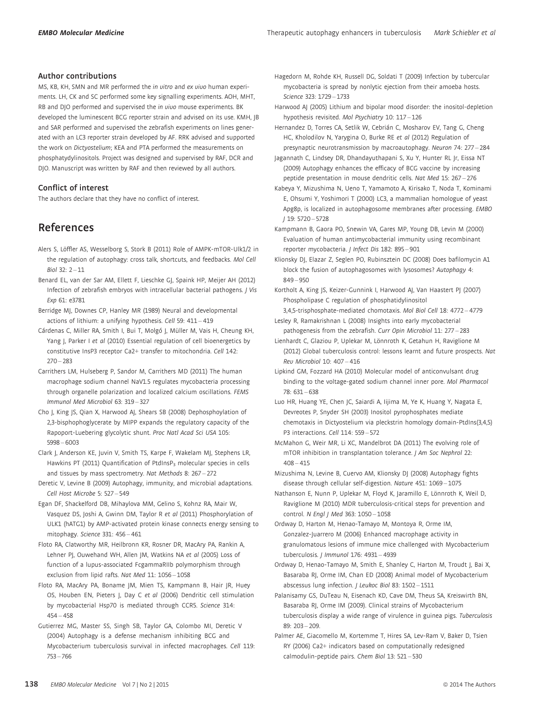#### Author contributions

MS, KB, KH, SMN and MR performed the in vitro and ex vivo human experiments. LH, CK and SC performed some key signalling experiments. AOH, MHT, RB and DJO performed and supervised the *in vivo* mouse experiments. BK developed the luminescent BCG reporter strain and advised on its use. KMH, JB and SAR performed and supervised the zebrafish experiments on lines generated with an LC3 reporter strain developed by AF. RRK advised and supported the work on Dictyostelium; KEA and PTA performed the measurements on phosphatydylinositols. Project was designed and supervised by RAF, DCR and DJO. Manuscript was written by RAF and then reviewed by all authors.

#### Conflict of interest

The authors declare that they have no conflict of interest.

### References

- Alers S, Löffler AS, Wesselborg S, Stork B (2011) Role of AMPK-mTOR-Ulk1/2 in the regulation of autophagy: cross talk, shortcuts, and feedbacks. Mol Cell  $Biol 32· 2 - 11$
- Benard EL, van der Sar AM, Ellett F, Lieschke GJ, Spaink HP, Meijer AH (2012) Infection of zebrafish embryos with intracellular bacterial pathogens. J Vis Exp 61: e3781
- Berridge MJ, Downes CP, Hanley MR (1989) Neural and developmental actions of lithium: a unifying hypothesis. Cell 59: 411 – 419
- Cárdenas C, Miller RA, Smith I, Bui T, Molgó J, Müller M, Vais H, Cheung KH, Yang J, Parker I et al (2010) Essential regulation of cell bioenergetics by constitutive InsP3 receptor Ca2+ transfer to mitochondria. Cell 142:  $270 - 283$
- Carrithers LM, Hulseberg P, Sandor M, Carrithers MD (2011) The human macrophage sodium channel NaV1.5 regulates mycobacteria processing through organelle polarization and localized calcium oscillations. FEMS Immunol Med Microbiol 63: 319 – 327
- Cho J, King JS, Qian X, Harwood AJ, Shears SB (2008) Dephosphoylation of 2,3-bisphophoglycerate by MIPP expands the regulatory capacity of the Rapoport-Luebering glycolytic shunt. Proc Natl Acad Sci USA 105: 5998 – 6003
- Clark J, Anderson KE, Juvin V, Smith TS, Karpe F, Wakelam MJ, Stephens LR, Hawkins PT (2011) Quantification of PtdInsP<sub>3</sub> molecular species in cells and tissues by mass spectrometry. Nat Methods 8: 267 – 272
- Deretic V, Levine B (2009) Autophagy, immunity, and microbial adaptations. Cell Host Microbe 5: 527 – 549
- Egan DF, Shackelford DB, Mihaylova MM, Gelino S, Kohnz RA, Mair W, Vasquez DS, Joshi A, Gwinn DM, Taylor R et al (2011) Phosphorylation of ULK1 (hATG1) by AMP-activated protein kinase connects energy sensing to mitophagy. Science 331: 456 – 461
- Floto RA, Clatworthy MR, Heilbronn KR, Rosner DR, MacAry PA, Rankin A, Lehner PJ, Ouwehand WH, Allen JM, Watkins NA et al (2005) Loss of function of a lupus-associated FcgammaRIIb polymorphism through exclusion from lipid rafts. Nat Med 11: 1056 – 1058
- Floto RA, MacAry PA, Boname JM, Mien TS, Kampmann B, Hair JR, Huey OS, Houben EN, Pieters J, Day C et al (2006) Dendritic cell stimulation by mycobacterial Hsp70 is mediated through CCR5. Science 314:  $454 - 458$
- Gutierrez MG, Master SS, Singh SB, Taylor GA, Colombo MI, Deretic V (2004) Autophagy is a defense mechanism inhibiting BCG and Mycobacterium tuberculosis survival in infected macrophages. Cell 119: 753 – 766

Hagedorn M, Rohde KH, Russell DG, Soldati T (2009) Infection by tubercular mycobacteria is spread by nonlytic ejection from their amoeba hosts. Science 323: 1729 – 1733

Harwood AJ (2005) Lithium and bipolar mood disorder: the inositol-depletion hypothesis revisited. Mol Psychiatry 10: 117 – 126

Hernandez D, Torres CA, Setlik W, Cebrián C, Mosharov EV, Tang G, Cheng HC, Kholodilov N, Yarygina O, Burke RE et al (2012) Regulation of presynaptic neurotransmission by macroautophagy. Neuron 74: 277 – 284

- Jagannath C, Lindsey DR, Dhandayuthapani S, Xu Y, Hunter RL Jr, Eissa NT (2009) Autophagy enhances the efficacy of BCG vaccine by increasing peptide presentation in mouse dendritic cells. Nat Med 15: 267 – 276
- Kabeya Y, Mizushima N, Ueno T, Yamamoto A, Kirisako T, Noda T, Kominami E, Ohsumi Y, Yoshimori T (2000) LC3, a mammalian homologue of yeast Apg8p, is localized in autophagosome membranes after processing. EMBO J 19: 5720 – 5728
- Kampmann B, Gaora PO, Snewin VA, Gares MP, Young DB, Levin M (2000) Evaluation of human antimycobacterial immunity using recombinant reporter mycobacteria. J Infect Dis 182: 895 – 901
- Klionsky DJ, Elazar Z, Seglen PO, Rubinsztein DC (2008) Does bafilomycin A1 block the fusion of autophagosomes with lysosomes? Autophagy 4: 849 – 950
- Kortholt A, King JS, Keizer-Gunnink I, Harwood AJ, Van Haastert PJ (2007) Phospholipase C regulation of phosphatidylinositol
- 3,4,5-trisphosphate-mediated chomotaxis. Mol Biol Cell 18: 4772 4779 Lesley R, Ramakrishnan L (2008) Insights into early mycobacterial
- pathogenesis from the zebrafish. Curr Opin Microbiol 11: 277 283 Lienhardt C, Glaziou P, Uplekar M, Lönnroth K, Getahun H, Raviglione M
- (2012) Global tuberculosis control: lessons learnt and future prospects. Nat Rev Microbiol 10: 407 – 416
- Lipkind GM, Fozzard HA (2010) Molecular model of anticonvulsant drug binding to the voltage-gated sodium channel inner pore. Mol Pharmacol 78: 631 – 638
- Luo HR, Huang YE, Chen JC, Saiardi A, Iijima M, Ye K, Huang Y, Nagata E, Devreotes P, Snyder SH (2003) Inositol pyrophosphates mediate chemotaxis in Dictyostelium via pleckstrin homology domain-PtdIns(3,4,5) P3 interactions. Cell 114: 559 – 572
- McMahon G, Weir MR, Li XC, Mandelbrot DA (2011) The evolving role of mTOR inhibition in transplantation tolerance. J Am Soc Nephrol 22:  $408 - 415$
- Mizushima N, Levine B, Cuervo AM, Klionsky DJ (2008) Autophagy fights disease through cellular self-digestion. Nature 451: 1069 – 1075
- Nathanson E, Nunn P, Uplekar M, Floyd K, Jaramillo E, Lönnroth K, Weil D, Raviglione M (2010) MDR tuberculosis-critical steps for prevention and control. N Engl | Med 363: 1050 - 1058
- Ordway D, Harton M, Henao-Tamayo M, Montoya R, Orme IM, Gonzalez-Juarrero M (2006) Enhanced macrophage activity in granulomatous lesions of immune mice challenged with Mycobacterium tuberculosis. J Immunol 176: 4931 – 4939
- Ordway D, Henao-Tamayo M, Smith E, Shanley C, Harton M, Troudt J, Bai X, Basaraba RJ, Orme IM, Chan ED (2008) Animal model of Mycobacterium abscessus lung infection. J Leukoc Biol 83: 1502-1511
- Palanisamy GS, DuTeau N, Eisenach KD, Cave DM, Theus SA, Kreiswirth BN, Basaraba RJ, Orme IM (2009). Clinical strains of Mycobacterium tuberculosis display a wide range of virulence in guinea pigs. Tuberculosis 89: 203 – 209.
- Palmer AE, Giacomello M, Kortemme T, Hires SA, Lev-Ram V, Baker D, Tsien RY (2006) Ca2+ indicators based on computationally redesigned calmodulin-peptide pairs. Chem Biol 13: 521 – 530